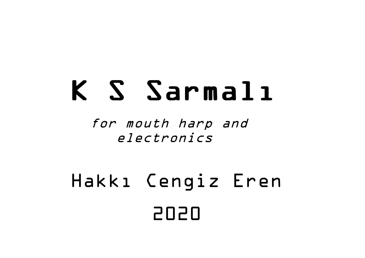# K S Sarmalı

for mouth harp and electronics

## 2020 Hakkı Cengiz Eren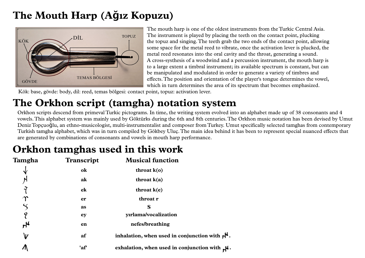## **The Mouth Harp (Ağız Kopuzu)**



The mouth harp is one of the oldest instruments from the Turkic Central Asia. The instrument is played by placing the teeth on the contact point, plucking the topuz and singing.The teeth grab the two ends of the contact point, allowing some space for the metal reed to vibrate, once the activation lever is plucked, the metal reed resonates into the oral cavity and the throat, generating a sound. A cross-systhesis of a woodwind and a percussion instrument, the mouth harp is to a large extent a timbral instrument; its available spectrum is constant, but can be manipulated and modulated in order to generate a variety of timbres and effects.The position and orientation of the player's tongue determines the vowel, which in turn determines the area of its spectrum that becomes emphasized.

Kök: base, gövde: body, dil: reed, temas bölgesi: contact point, topuz: activation lever.

## **The Orkhon script (tamgha) notation system**

Orkhon scripts descend from primeval Turkic pictograms. In time, the writing system evolved into an alphabet made up of 38 consonants and 4 vowels.This alphabet system was mainly used by Göktürks during the 6th and 8th centuries.The Orkhon music notation has been devised by Umut Deniz Topçuoğlu, an ethno-musicologist, multi-instrumentalist and composer from Turkey.Umut specifically selected tamghas from contemporary Turkish tamgha alphabet, which was in turn compiled by Gökbey Uluç.The main idea behind it has been to represent special nuanced effects that are generated by combinations of consonants and vowels in mouth harp performance.

### **Orkhon tamghas used in this work**

| Tamgha           | <b>Transcript</b> | <b>Musical function</b>                                               |
|------------------|-------------------|-----------------------------------------------------------------------|
| Ѵ                | ok                | throat $k(o)$                                                         |
| N                | ak                | throat $k(a)$                                                         |
|                  | ek                | throat $k(e)$                                                         |
|                  | er                | throat r                                                              |
| $\bm{\varsigma}$ | as                | S                                                                     |
| 9                | ey                | yırlama/vocalization                                                  |
| ٣f               | en                | nefes/breathing                                                       |
| V                | af                | inhalation, when used in conjunction with $\mathbf{r}^{\mathbf{k}}$ . |
|                  | 'af'              | exhalation, when used in conjunction with $\mu$ .                     |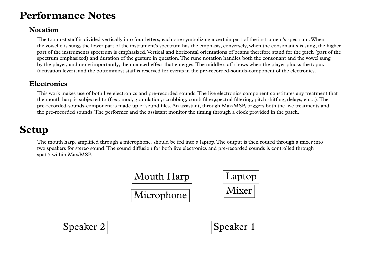#### **Performance Notes**

#### **Notation**

The topmost staff is divided vertically into four letters, each one symbolizing a certain part of the instrument's spectrum.When the vowel o issung, the lower part of the instrument's spectrum has the emphasis, conversely, when the consonant s is sung, the higher part of the instruments spectrum is emphasized.Vertical and horizontal orientations of beams therefore stand for the pitch (part of the spectrum emphasized) and duration of the gesture in question.The rune notation handles both the consonant and the vowel sung by the player, and more importantly, the nuanced effect that emerges.The middle staff shows when the player plucks the topuz (activation lever), and the bottommost staff is reserved for events in the pre-recorded-sounds-component of the electronics.

#### **Electronics**

This work makes use of both live electronics and pre-recorded sounds.The live electronics component constitutes any treatment that the mouth harp is subjected to (freq. mod, granulation, scrubbing, comb filter,spectral filtering, pitch shitfing, delays, etc...).The pre-recorded-sounds-component is made up of sound files. An assistant, through Max/MSP, triggers both the live treatments and the pre-recorded sounds.The performer and the assistant monitor the timing through a clock provided in the patch.

#### **Setup**

The mouth harp, amplified through a microphone, should be fed into a laptop.The output is then routed through a mixer into two speakers for stereo sound.The sound diffusion for both live electronics and pre-recorded sounds is controlled through spat 5 within Max/MSP.





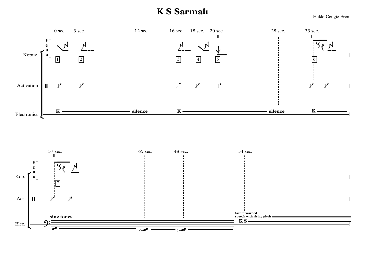#### **KS** Sarmalı

Hakkı Cengiz Eren

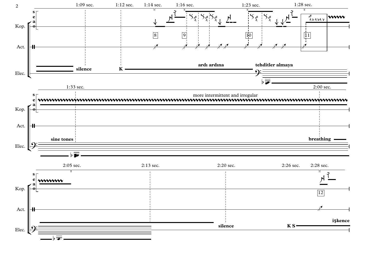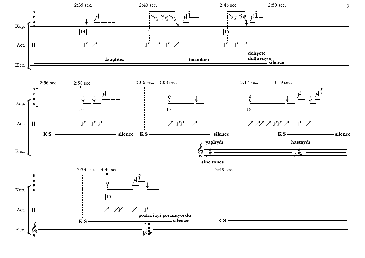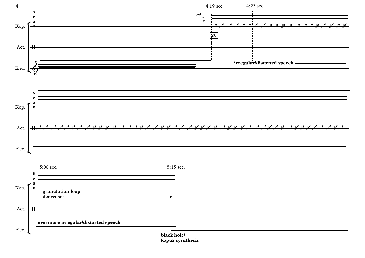